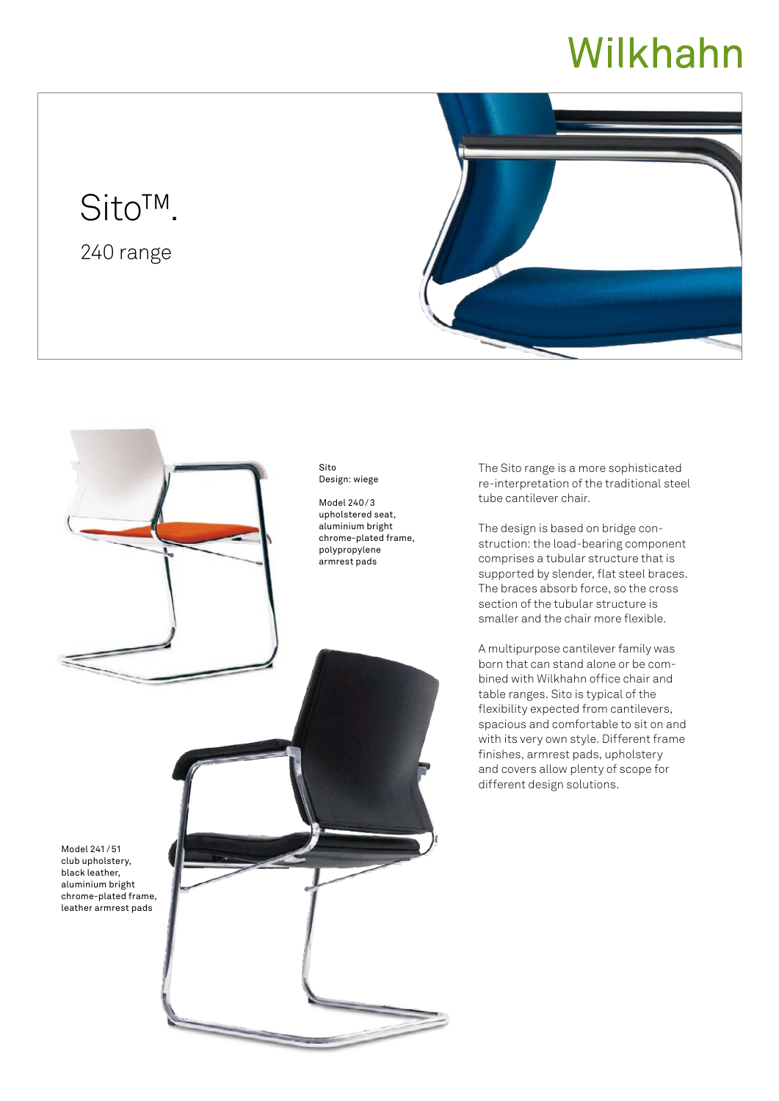# Wilkhahn

## Sito™.

240 range





The Sito range is a more sophisticated re-interpretation of the traditional steel

The design is based on bridge construction: the load-bearing component comprises a tubular structure that is supported by slender, flat steel braces. The braces absorb force, so the cross section of the tubular structure is smaller and the chair more flexible.